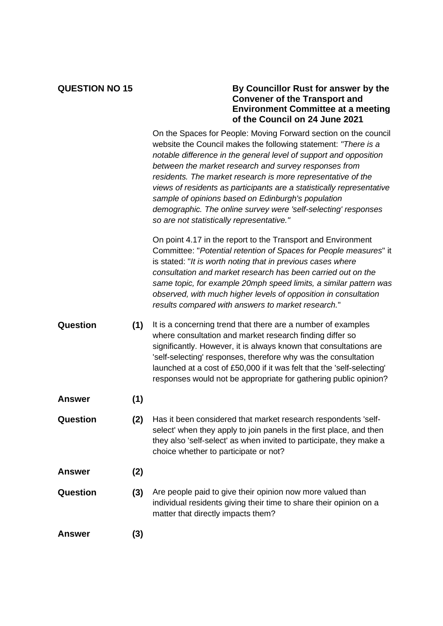## **QUESTION NO 15 By Councillor Rust for answer by the Convener of the Transport and Environment Committee at a meeting of the Council on 24 June 2021**

|               |     | On the Spaces for People: Moving Forward section on the council<br>website the Council makes the following statement: "There is a<br>notable difference in the general level of support and opposition<br>between the market research and survey responses from<br>residents. The market research is more representative of the<br>views of residents as participants are a statistically representative<br>sample of opinions based on Edinburgh's population<br>demographic. The online survey were 'self-selecting' responses<br>so are not statistically representative." |
|---------------|-----|-------------------------------------------------------------------------------------------------------------------------------------------------------------------------------------------------------------------------------------------------------------------------------------------------------------------------------------------------------------------------------------------------------------------------------------------------------------------------------------------------------------------------------------------------------------------------------|
|               |     | On point 4.17 in the report to the Transport and Environment<br>Committee: "Potential retention of Spaces for People measures" it<br>is stated: "It is worth noting that in previous cases where<br>consultation and market research has been carried out on the<br>same topic, for example 20mph speed limits, a similar pattern was<br>observed, with much higher levels of opposition in consultation<br>results compared with answers to market research."                                                                                                                |
| Question      | (1) | It is a concerning trend that there are a number of examples<br>where consultation and market research finding differ so<br>significantly. However, it is always known that consultations are<br>'self-selecting' responses, therefore why was the consultation<br>launched at a cost of £50,000 if it was felt that the 'self-selecting'<br>responses would not be appropriate for gathering public opinion?                                                                                                                                                                 |
| <b>Answer</b> | (1) |                                                                                                                                                                                                                                                                                                                                                                                                                                                                                                                                                                               |
| Question      | (2) | Has it been considered that market research respondents 'self-<br>select' when they apply to join panels in the first place, and then<br>they also 'self-select' as when invited to participate, they make a<br>choice whether to participate or not?                                                                                                                                                                                                                                                                                                                         |
| <b>Answer</b> | (2) |                                                                                                                                                                                                                                                                                                                                                                                                                                                                                                                                                                               |
| Question      | (3) | Are people paid to give their opinion now more valued than<br>individual residents giving their time to share their opinion on a<br>matter that directly impacts them?                                                                                                                                                                                                                                                                                                                                                                                                        |
| <b>Answer</b> | (3) |                                                                                                                                                                                                                                                                                                                                                                                                                                                                                                                                                                               |